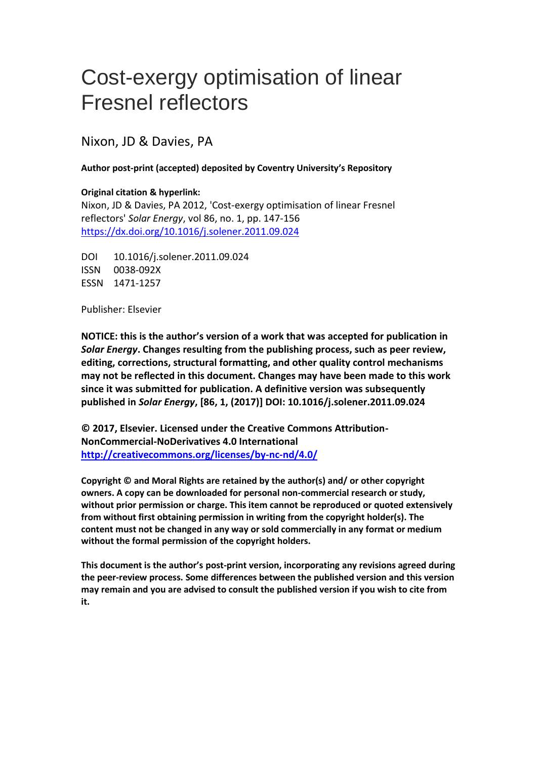# Cost-exergy optimisation of linear Fresnel reflectors

Nixon, JD & Davies, PA

# **Author post-print (accepted) deposited by Coventry University's Repository**

# **Original citation & hyperlink:**

Nixon, JD & Davies, PA 2012, 'Cost-exergy optimisation of linear Fresnel reflectors' *Solar Energy*, vol 86, no. 1, pp. 147-156 <https://dx.doi.org/10.1016/j.solener.2011.09.024>

DOI 10.1016/j.solener.2011.09.024 ISSN 0038-092X ESSN 1471-1257

Publisher: Elsevier

**NOTICE: this is the author's version of a work that was accepted for publication in**  *Solar Energy***. Changes resulting from the publishing process, such as peer review, editing, corrections, structural formatting, and other quality control mechanisms may not be reflected in this document. Changes may have been made to this work since it was submitted for publication. A definitive version was subsequently published in** *Solar Energy***, [86, 1, (2017)] DOI: 10.1016/j.solener.2011.09.024**

**© 2017, Elsevier. Licensed under the Creative Commons Attribution-NonCommercial-NoDerivatives 4.0 International <http://creativecommons.org/licenses/by-nc-nd/4.0/>**

**Copyright © and Moral Rights are retained by the author(s) and/ or other copyright owners. A copy can be downloaded for personal non-commercial research or study, without prior permission or charge. This item cannot be reproduced or quoted extensively from without first obtaining permission in writing from the copyright holder(s). The content must not be changed in any way or sold commercially in any format or medium without the formal permission of the copyright holders.** 

**This document is the author's post-print version, incorporating any revisions agreed during the peer-review process. Some differences between the published version and this version may remain and you are advised to consult the published version if you wish to cite from it.**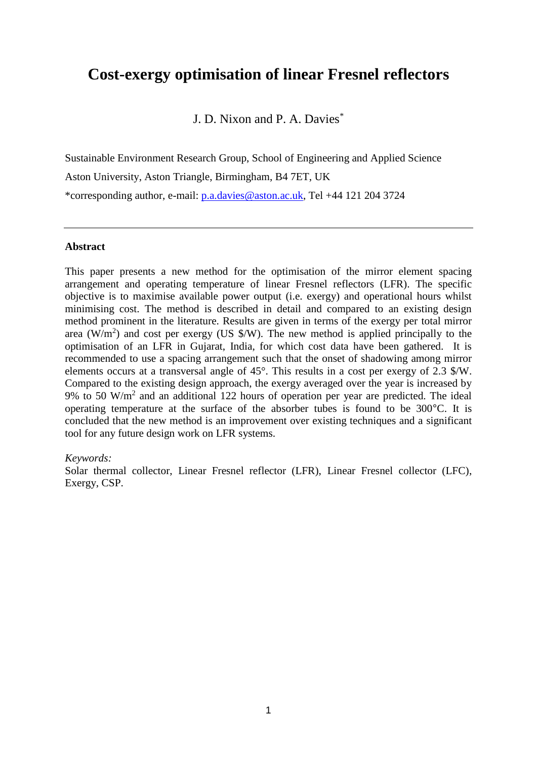# **Cost-exergy optimisation of linear Fresnel reflectors**

J. D. Nixon and P. A. Davies\*

Sustainable Environment Research Group, School of Engineering and Applied Science Aston University, Aston Triangle, Birmingham, B4 7ET, UK \*corresponding author, e-mail: [p.a.davies@aston.ac.uk,](mailto:p.a.davies@aston.ac.uk) Tel +44 121 204 3724

#### **Abstract**

This paper presents a new method for the optimisation of the mirror element spacing arrangement and operating temperature of linear Fresnel reflectors (LFR). The specific objective is to maximise available power output (i.e. exergy) and operational hours whilst minimising cost. The method is described in detail and compared to an existing design method prominent in the literature. Results are given in terms of the exergy per total mirror area  $(W/m<sup>2</sup>)$  and cost per exergy (US \$/W). The new method is applied principally to the optimisation of an LFR in Gujarat, India, for which cost data have been gathered. It is recommended to use a spacing arrangement such that the onset of shadowing among mirror elements occurs at a transversal angle of 45°. This results in a cost per exergy of 2.3 \$/W. Compared to the existing design approach, the exergy averaged over the year is increased by 9% to 50  $W/m<sup>2</sup>$  and an additional 122 hours of operation per year are predicted. The ideal operating temperature at the surface of the absorber tubes is found to be 300°C. It is concluded that the new method is an improvement over existing techniques and a significant tool for any future design work on LFR systems.

#### *Keywords:*

Solar thermal collector, Linear Fresnel reflector (LFR), Linear Fresnel collector (LFC), Exergy, CSP.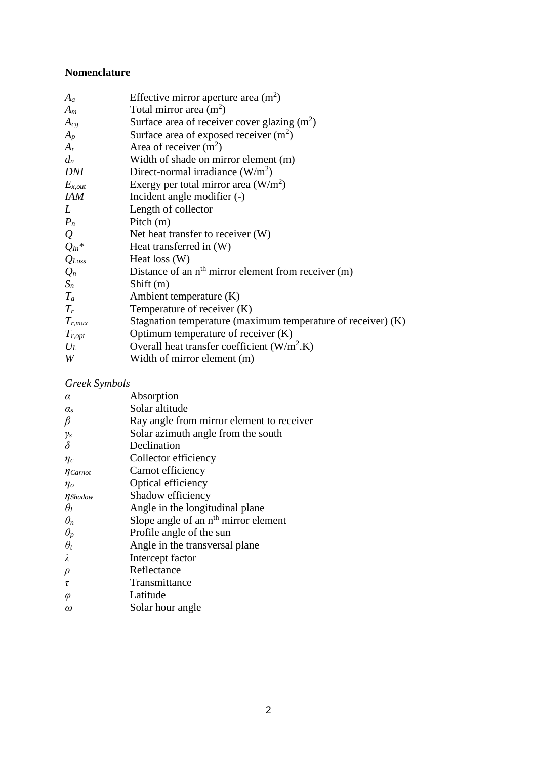| <b>Nomenclature</b>    |                                                              |  |  |  |  |
|------------------------|--------------------------------------------------------------|--|--|--|--|
| $A_a$                  | Effective mirror aperture area $(m2)$                        |  |  |  |  |
| $A_m$                  | Total mirror area $(m2)$                                     |  |  |  |  |
| $A_{cg}$               | Surface area of receiver cover glazing $(m2)$                |  |  |  |  |
| $A_p$                  | Surface area of exposed receiver $(m2)$                      |  |  |  |  |
| $A_r$                  | Area of receiver $(m^2)$                                     |  |  |  |  |
| $d_n$                  | Width of shade on mirror element (m)                         |  |  |  |  |
| DNI                    | Direct-normal irradiance $(W/m^2)$                           |  |  |  |  |
| $E_{x,out}$            | Exergy per total mirror area $(W/m^2)$                       |  |  |  |  |
| <b>IAM</b>             | Incident angle modifier (-)                                  |  |  |  |  |
| L                      | Length of collector                                          |  |  |  |  |
| $P_n$                  | Pitch $(m)$                                                  |  |  |  |  |
| $\varrho$              | Net heat transfer to receiver (W)                            |  |  |  |  |
| $Q_{ln}$ *             | Heat transferred in (W)                                      |  |  |  |  |
| $Q_{Loss}$             | Heat loss $(W)$                                              |  |  |  |  |
| $Q_n$                  | Distance of an $nth$ mirror element from receiver $(m)$      |  |  |  |  |
| $S_n$                  | Shift (m)                                                    |  |  |  |  |
| $T_a$                  | Ambient temperature (K)                                      |  |  |  |  |
| $T_r$                  | Temperature of receiver $(K)$                                |  |  |  |  |
| $T_{r,max}$            | Stagnation temperature (maximum temperature of receiver) (K) |  |  |  |  |
| $T_{r,opt}$            | Optimum temperature of receiver (K)                          |  |  |  |  |
| $U_L$                  | Overall heat transfer coefficient $(W/m2)$ . K)              |  |  |  |  |
| W                      | Width of mirror element (m)                                  |  |  |  |  |
| Greek Symbols          |                                                              |  |  |  |  |
| α                      | Absorption                                                   |  |  |  |  |
| $\alpha_s$             | Solar altitude                                               |  |  |  |  |
| $\beta$                | Ray angle from mirror element to receiver                    |  |  |  |  |
|                        | Solar azimuth angle from the south                           |  |  |  |  |
| $\gamma_s$<br>$\delta$ | Declination                                                  |  |  |  |  |
| $\eta_c$               | Collector efficiency                                         |  |  |  |  |
| $\eta$ Carnot          | Carnot efficiency                                            |  |  |  |  |
| $\eta$ <sub>o</sub>    | Optical efficiency                                           |  |  |  |  |
| $\n  n$ <i>Shadow</i>  | Shadow efficiency                                            |  |  |  |  |
| $\theta_l$             | Angle in the longitudinal plane                              |  |  |  |  |
| $\theta_n$             | Slope angle of an $nth$ mirror element                       |  |  |  |  |
| $\theta_p$             | Profile angle of the sun                                     |  |  |  |  |
| $\theta_t$             | Angle in the transversal plane                               |  |  |  |  |
| λ                      | Intercept factor                                             |  |  |  |  |
| $\rho$                 | Reflectance                                                  |  |  |  |  |
| τ                      | Transmittance                                                |  |  |  |  |
| $\varphi$              | Latitude                                                     |  |  |  |  |
| $\omega$               | Solar hour angle                                             |  |  |  |  |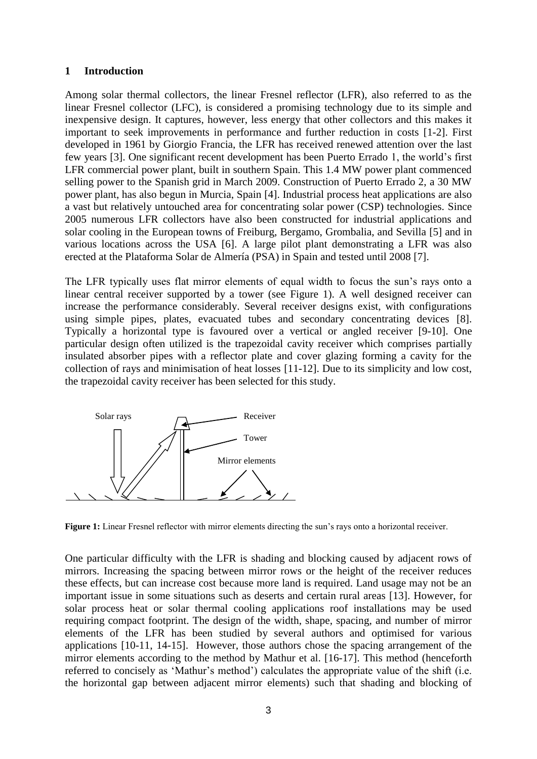#### **1 Introduction**

Among solar thermal collectors, the linear Fresnel reflector (LFR), also referred to as the linear Fresnel collector (LFC), is considered a promising technology due to its simple and inexpensive design. It captures, however, less energy that other collectors and this makes it important to seek improvements in performance and further reduction in costs [1-2]. First developed in 1961 by Giorgio Francia, the LFR has received renewed attention over the last few years [3]. One significant recent development has been Puerto Errado 1, the world's first LFR commercial power plant, built in southern Spain. This 1.4 MW power plant commenced selling power to the Spanish grid in March 2009. Construction of Puerto Errado 2, a 30 MW power plant, has also begun in Murcia, Spain [4]. Industrial process heat applications are also a vast but relatively untouched area for concentrating solar power (CSP) technologies. Since 2005 numerous LFR collectors have also been constructed for industrial applications and solar cooling in the European towns of Freiburg, Bergamo, Grombalia, and Sevilla [5] and in various locations across the USA [6]. A large pilot plant demonstrating a LFR was also erected at the Plataforma Solar de Almería (PSA) in Spain and tested until 2008 [7].

The LFR typically uses flat mirror elements of equal width to focus the sun's rays onto a linear central receiver supported by a tower (see Figure 1). A well designed receiver can increase the performance considerably. Several receiver designs exist, with configurations using simple pipes, plates, evacuated tubes and secondary concentrating devices [8]. Typically a horizontal type is favoured over a vertical or angled receiver [9-10]. One particular design often utilized is the trapezoidal cavity receiver which comprises partially insulated absorber pipes with a reflector plate and cover glazing forming a cavity for the collection of rays and minimisation of heat losses [11-12]. Due to its simplicity and low cost, the trapezoidal cavity receiver has been selected for this study.



**Figure 1:** Linear Fresnel reflector with mirror elements directing the sun's rays onto a horizontal receiver.

One particular difficulty with the LFR is shading and blocking caused by adjacent rows of mirrors. Increasing the spacing between mirror rows or the height of the receiver reduces these effects, but can increase cost because more land is required. Land usage may not be an important issue in some situations such as deserts and certain rural areas [13]. However, for solar process heat or solar thermal cooling applications roof installations may be used requiring compact footprint. The design of the width, shape, spacing, and number of mirror elements of the LFR has been studied by several authors and optimised for various applications [10-11, 14-15]. However, those authors chose the spacing arrangement of the mirror elements according to the method by Mathur et al. [16-17]. This method (henceforth referred to concisely as 'Mathur's method') calculates the appropriate value of the shift (i.e. the horizontal gap between adjacent mirror elements) such that shading and blocking of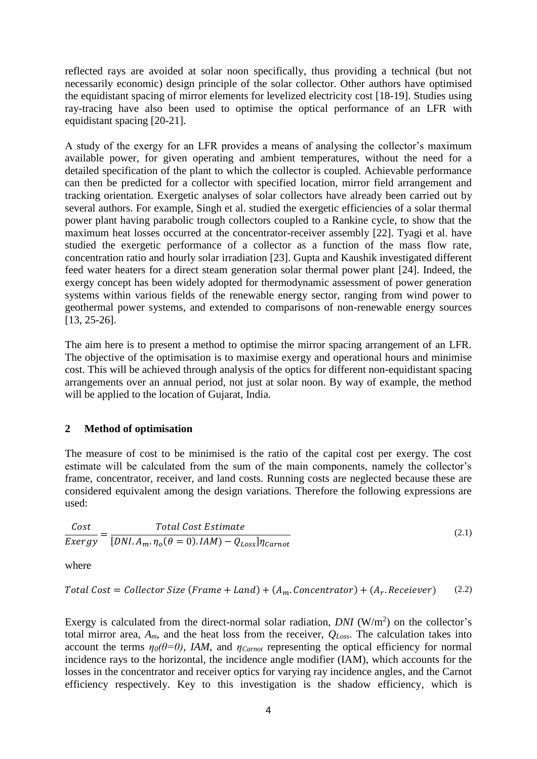reflected rays are avoided at solar noon specifically, thus providing a technical (but not necessarily economic) design principle of the solar collector. Other authors have optimised the equidistant spacing of mirror elements for levelized electricity cost [18-19]. Studies using ray-tracing have also been used to optimise the optical performance of an LFR with equidistant spacing [20-21].

A study of the exergy for an LFR provides a means of analysing the collector's maximum available power, for given operating and ambient temperatures, without the need for a detailed specification of the plant to which the collector is coupled. Achievable performance can then be predicted for a collector with specified location, mirror field arrangement and tracking orientation. Exergetic analyses of solar collectors have already been carried out by several authors. For example, Singh et al. studied the exergetic efficiencies of a solar thermal power plant having parabolic trough collectors coupled to a Rankine cycle, to show that the maximum heat losses occurred at the concentrator-receiver assembly [22]. Tyagi et al. have studied the exergetic performance of a collector as a function of the mass flow rate, concentration ratio and hourly solar irradiation [23]. Gupta and Kaushik investigated different feed water heaters for a direct steam generation solar thermal power plant [24]. Indeed, the exergy concept has been widely adopted for thermodynamic assessment of power generation systems within various fields of the renewable energy sector, ranging from wind power to geothermal power systems, and extended to comparisons of non-renewable energy sources [13, 25-26].

The aim here is to present a method to optimise the mirror spacing arrangement of an LFR. The objective of the optimisation is to maximise exergy and operational hours and minimise cost. This will be achieved through analysis of the optics for different non-equidistant spacing arrangements over an annual period, not just at solar noon. By way of example, the method will be applied to the location of Gujarat, India.

#### **2 Method of optimisation**

The measure of cost to be minimised is the ratio of the capital cost per exergy. The cost estimate will be calculated from the sum of the main components, namely the collector's frame, concentrator, receiver, and land costs. Running costs are neglected because these are considered equivalent among the design variations. Therefore the following expressions are used:

<span id="page-4-0"></span>
$$
\frac{Cost}{Exergy} = \frac{Total Cost Estimate}{[DNI.A_m.\eta_o(\theta = 0).IAM) - Q_{Loss}] \eta_{Carnot}}
$$
\n(2.1)

where

Total Cost = Collector Size (Frame + Land) + 
$$
(A_m
$$
. *Concentrator)* +  $(A_r$ . *Receiever)* (2.2)

Exergy is calculated from the direct-normal solar radiation,  $DNI$  ( $W/m<sup>2</sup>$ ) on the collector's total mirror area,  $A_m$ , and the heat loss from the receiver,  $Q_{Loss}$ . The calculation takes into account the terms  $\eta_0(\theta=0)$ , *IAM*, and  $\eta_{Carnot}$  representing the optical efficiency for normal incidence rays to the horizontal, the incidence angle modifier (IAM), which accounts for the losses in the concentrator and receiver optics for varying ray incidence angles, and the Carnot efficiency respectively. Key to this investigation is the shadow efficiency, which is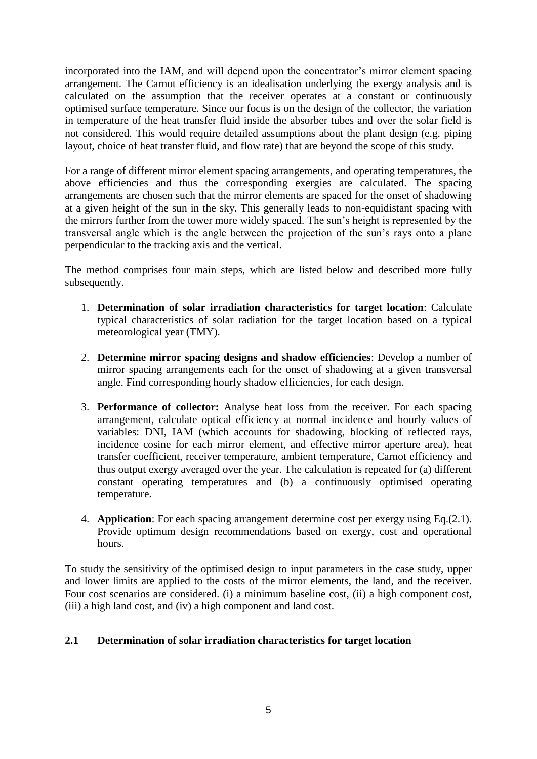incorporated into the IAM, and will depend upon the concentrator's mirror element spacing arrangement. The Carnot efficiency is an idealisation underlying the exergy analysis and is calculated on the assumption that the receiver operates at a constant or continuously optimised surface temperature. Since our focus is on the design of the collector, the variation in temperature of the heat transfer fluid inside the absorber tubes and over the solar field is not considered. This would require detailed assumptions about the plant design (e.g. piping layout, choice of heat transfer fluid, and flow rate) that are beyond the scope of this study.

For a range of different mirror element spacing arrangements, and operating temperatures, the above efficiencies and thus the corresponding exergies are calculated. The spacing arrangements are chosen such that the mirror elements are spaced for the onset of shadowing at a given height of the sun in the sky. This generally leads to non-equidistant spacing with the mirrors further from the tower more widely spaced. The sun's height is represented by the transversal angle which is the angle between the projection of the sun's rays onto a plane perpendicular to the tracking axis and the vertical.

The method comprises four main steps, which are listed below and described more fully subsequently.

- 1. **Determination of solar irradiation characteristics for target location**: Calculate typical characteristics of solar radiation for the target location based on a typical meteorological year (TMY).
- 2. **Determine mirror spacing designs and shadow efficiencies**: Develop a number of mirror spacing arrangements each for the onset of shadowing at a given transversal angle. Find corresponding hourly shadow efficiencies, for each design.
- 3. **Performance of collector:** Analyse heat loss from the receiver. For each spacing arrangement, calculate optical efficiency at normal incidence and hourly values of variables: DNI, IAM (which accounts for shadowing, blocking of reflected rays, incidence cosine for each mirror element, and effective mirror aperture area), heat transfer coefficient, receiver temperature, ambient temperature, Carnot efficiency and thus output exergy averaged over the year. The calculation is repeated for (a) different constant operating temperatures and (b) a continuously optimised operating temperature.
- 4. **Application**: For each spacing arrangement determine cost per exergy using Eq[.\(2.1\).](#page-4-0) Provide optimum design recommendations based on exergy, cost and operational hours.

To study the sensitivity of the optimised design to input parameters in the case study, upper and lower limits are applied to the costs of the mirror elements, the land, and the receiver. Four cost scenarios are considered. (i) a minimum baseline cost, (ii) a high component cost, (iii) a high land cost, and (iv) a high component and land cost.

# **2.1 Determination of solar irradiation characteristics for target location**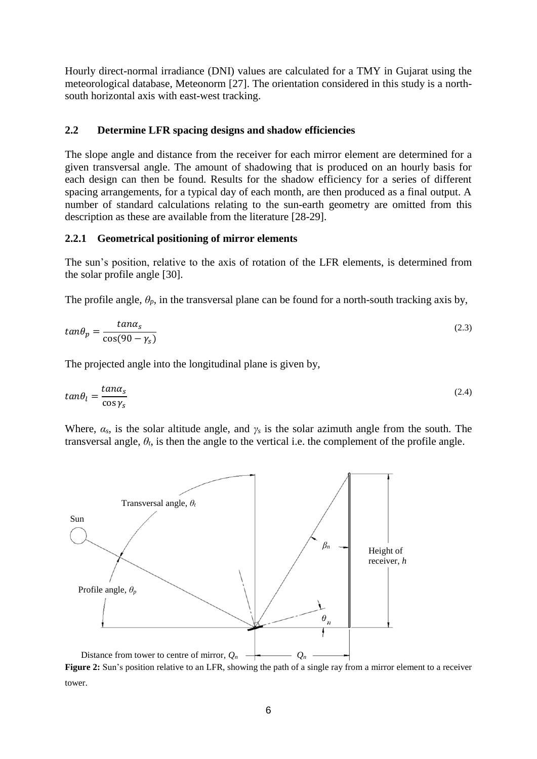Hourly direct-normal irradiance (DNI) values are calculated for a TMY in Gujarat using the meteorological database, Meteonorm [27]. The orientation considered in this study is a northsouth horizontal axis with east-west tracking.

#### **2.2 Determine LFR spacing designs and shadow efficiencies**

The slope angle and distance from the receiver for each mirror element are determined for a given transversal angle. The amount of shadowing that is produced on an hourly basis for each design can then be found. Results for the shadow efficiency for a series of different spacing arrangements, for a typical day of each month, are then produced as a final output. A number of standard calculations relating to the sun-earth geometry are omitted from this description as these are available from the literature [28-29].

#### **2.2.1 Geometrical positioning of mirror elements**

The sun's position, relative to the axis of rotation of the LFR elements, is determined from the solar profile angle [30].

The profile angle,  $\theta_p$ , in the transversal plane can be found for a north-south tracking axis by,

$$
tan \theta_p = \frac{tan \alpha_s}{cos(90 - \gamma_s)}
$$
(2.3)

The projected angle into the longitudinal plane is given by,

$$
tan\theta_l = \frac{tan\alpha_s}{\cos\gamma_s} \tag{2.4}
$$

Where,  $\alpha_s$ , is the solar altitude angle, and  $\gamma_s$  is the solar azimuth angle from the south. The transversal angle,  $\theta_t$ , is then the angle to the vertical i.e. the complement of the profile angle.



**Figure 2:** Sun's position relative to an LFR, showing the path of a single ray from a mirror element to a receiver tower.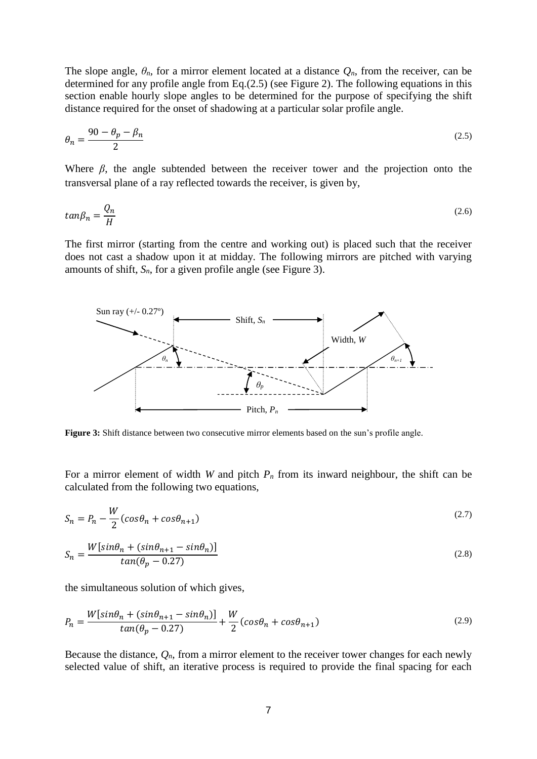The slope angle,  $\theta_n$ , for a mirror element located at a distance  $Q_n$ , from the receiver, can be determined for any profile angle from Eq[.\(2.5\)](#page-7-0) (see Figure 2). The following equations in this section enable hourly slope angles to be determined for the purpose of specifying the shift distance required for the onset of shadowing at a particular solar profile angle.

<span id="page-7-0"></span>
$$
\theta_n = \frac{90 - \theta_p - \beta_n}{2} \tag{2.5}
$$

Where  $\beta$ , the angle subtended between the receiver tower and the projection onto the transversal plane of a ray reflected towards the receiver, is given by,

$$
tan \beta_n = \frac{Q_n}{H} \tag{2.6}
$$

The first mirror (starting from the centre and working out) is placed such that the receiver does not cast a shadow upon it at midday. The following mirrors are pitched with varying amounts of shift, *Sn*, for a given profile angle (see Figure 3).



**Figure 3:** Shift distance between two consecutive mirror elements based on the sun's profile angle.

For a mirror element of width *W* and pitch  $P_n$  from its inward neighbour, the shift can be calculated from the following two equations,

$$
S_n = P_n - \frac{W}{2} (\cos \theta_n + \cos \theta_{n+1}) \tag{2.7}
$$

$$
S_n = \frac{W[\sin\theta_n + (\sin\theta_{n+1} - \sin\theta_n)]}{\tan(\theta_p - 0.27)}
$$
\n(2.8)

the simultaneous solution of which gives,

$$
P_n = \frac{W[\sin\theta_n + (\sin\theta_{n+1} - \sin\theta_n)]}{\tan(\theta_p - 0.27)} + \frac{W}{2}(\cos\theta_n + \cos\theta_{n+1})
$$
\n(2.9)

Because the distance,  $Q_n$ , from a mirror element to the receiver tower changes for each newly selected value of shift, an iterative process is required to provide the final spacing for each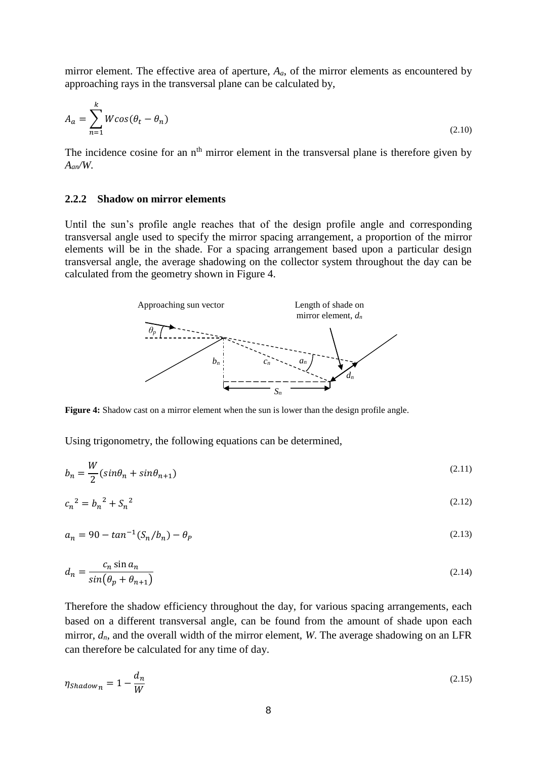mirror element. The effective area of aperture, *Aa*, of the mirror elements as encountered by approaching rays in the transversal plane can be calculated by,

$$
A_a = \sum_{n=1}^{k} W \cos(\theta_t - \theta_n)
$$
\n(2.10)

The incidence cosine for an  $n<sup>th</sup>$  mirror element in the transversal plane is therefore given by *Aan/W*.

#### **2.2.2 Shadow on mirror elements**

Until the sun's profile angle reaches that of the design profile angle and corresponding transversal angle used to specify the mirror spacing arrangement, a proportion of the mirror elements will be in the shade. For a spacing arrangement based upon a particular design transversal angle, the average shadowing on the collector system throughout the day can be calculated from the geometry shown in Figure 4.



**Figure 4:** Shadow cast on a mirror element when the sun is lower than the design profile angle.

Using trigonometry, the following equations can be determined,

$$
b_n = \frac{W}{2}(\sin \theta_n + \sin \theta_{n+1})
$$
\n(2.11)

$$
c_n^2 = b_n^2 + S_n^2 \tag{2.12}
$$

$$
a_n = 90 - \tan^{-1}(S_n/b_n) - \theta_P \tag{2.13}
$$

$$
d_n = \frac{c_n \sin a_n}{\sin(\theta_p + \theta_{n+1})}
$$
\n(2.14)

Therefore the shadow efficiency throughout the day, for various spacing arrangements, each based on a different transversal angle, can be found from the amount of shade upon each mirror, *dn*, and the overall width of the mirror element, *W*. The average shadowing on an LFR can therefore be calculated for any time of day.

$$
\eta_{\text{Shadow}_n} = 1 - \frac{d_n}{W} \tag{2.15}
$$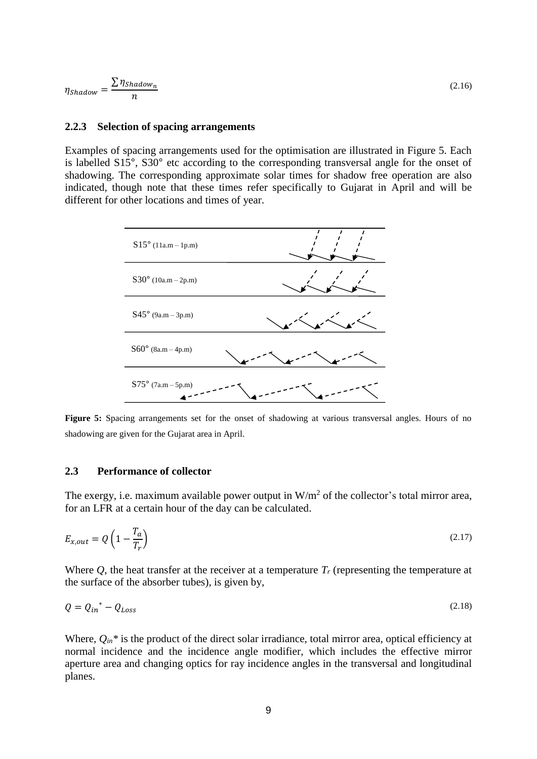$$
\eta_{\text{Shadow}} = \frac{\sum \eta_{\text{Shadow}_n}}{n} \tag{2.16}
$$

#### **2.2.3 Selection of spacing arrangements**

Examples of spacing arrangements used for the optimisation are illustrated in Figure 5. Each is labelled S15°, S30° etc according to the corresponding transversal angle for the onset of shadowing. The corresponding approximate solar times for shadow free operation are also indicated, though note that these times refer specifically to Gujarat in April and will be different for other locations and times of year.



**Figure 5:** Spacing arrangements set for the onset of shadowing at various transversal angles. Hours of no shadowing are given for the Gujarat area in April.

#### **2.3 Performance of collector**

The exergy, i.e. maximum available power output in  $W/m<sup>2</sup>$  of the collector's total mirror area, for an LFR at a certain hour of the day can be calculated.

$$
E_{x,out} = Q\left(1 - \frac{T_a}{T_r}\right) \tag{2.17}
$$

Where  $Q$ , the heat transfer at the receiver at a temperature  $T_r$  (representing the temperature at the surface of the absorber tubes), is given by,

$$
Q = Q_{in}^* - Q_{Loss} \tag{2.18}
$$

Where,  $Q_{in}$ <sup>\*</sup> is the product of the direct solar irradiance, total mirror area, optical efficiency at normal incidence and the incidence angle modifier, which includes the effective mirror aperture area and changing optics for ray incidence angles in the transversal and longitudinal planes.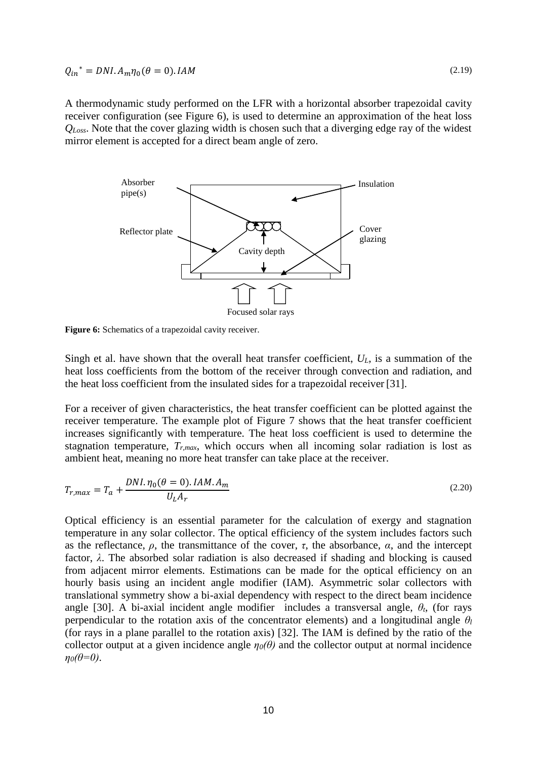A thermodynamic study performed on the LFR with a horizontal absorber trapezoidal cavity receiver configuration (see Figure 6), is used to determine an approximation of the heat loss *QLoss*. Note that the cover glazing width is chosen such that a diverging edge ray of the widest mirror element is accepted for a direct beam angle of zero.



Figure 6: Schematics of a trapezoidal cavity receiver.

Singh et al. have shown that the overall heat transfer coefficient, *UL*, is a summation of the heat loss coefficients from the bottom of the receiver through convection and radiation, and the heat loss coefficient from the insulated sides for a trapezoidal receiver [31].

For a receiver of given characteristics, the heat transfer coefficient can be plotted against the receiver temperature. The example plot of Figure 7 shows that the heat transfer coefficient increases significantly with temperature. The heat loss coefficient is used to determine the stagnation temperature,  $T_{r,max}$ , which occurs when all incoming solar radiation is lost as ambient heat, meaning no more heat transfer can take place at the receiver.

<span id="page-10-0"></span>
$$
T_{r,max} = T_a + \frac{DNI.\eta_0(\theta = 0).IAM.A_m}{U_L A_r}
$$
\n
$$
(2.20)
$$

Optical efficiency is an essential parameter for the calculation of exergy and stagnation temperature in any solar collector. The optical efficiency of the system includes factors such as the reflectance,  $\rho$ , the transmittance of the cover,  $\tau$ , the absorbance,  $\alpha$ , and the intercept factor, *λ*. The absorbed solar radiation is also decreased if shading and blocking is caused from adjacent mirror elements. Estimations can be made for the optical efficiency on an hourly basis using an incident angle modifier (IAM). Asymmetric solar collectors with translational symmetry show a bi-axial dependency with respect to the direct beam incidence angle [30]. A bi-axial incident angle modifier includes a transversal angle,  $\theta_t$ , (for rays perpendicular to the rotation axis of the concentrator elements) and a longitudinal angle  $\theta_l$ (for rays in a plane parallel to the rotation axis) [32]. The IAM is defined by the ratio of the collector output at a given incidence angle  $\eta_0(\theta)$  and the collector output at normal incidence  $n_0(\theta=0)$ .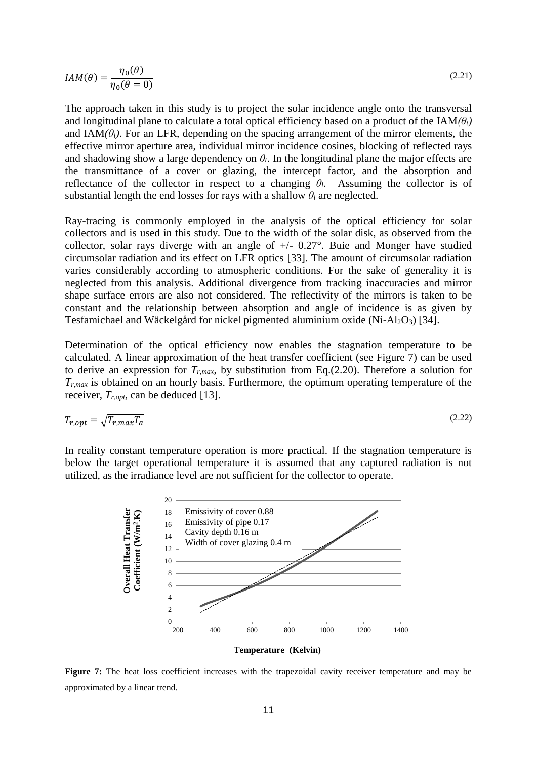$$
IAM(\theta) = \frac{\eta_0(\theta)}{\eta_0(\theta = 0)}\tag{2.21}
$$

The approach taken in this study is to project the solar incidence angle onto the transversal and longitudinal plane to calculate a total optical efficiency based on a product of the  $IAM(\theta_t)$ and IAM $(\theta_l)$ . For an LFR, depending on the spacing arrangement of the mirror elements, the effective mirror aperture area, individual mirror incidence cosines, blocking of reflected rays and shadowing show a large dependency on  $\theta_t$ . In the longitudinal plane the major effects are the transmittance of a cover or glazing, the intercept factor, and the absorption and reflectance of the collector in respect to a changing  $\theta$ *l*. Assuming the collector is of substantial length the end losses for rays with a shallow  $\theta_l$  are neglected.

Ray-tracing is commonly employed in the analysis of the optical efficiency for solar collectors and is used in this study. Due to the width of the solar disk, as observed from the collector, solar rays diverge with an angle of +/- 0.27°. Buie and Monger have studied circumsolar radiation and its effect on LFR optics [33]. The amount of circumsolar radiation varies considerably according to atmospheric conditions. For the sake of generality it is neglected from this analysis. Additional divergence from tracking inaccuracies and mirror shape surface errors are also not considered. The reflectivity of the mirrors is taken to be constant and the relationship between absorption and angle of incidence is as given by Tesfamichael and Wäckelgård for nickel pigmented aluminium oxide  $(Ni-Al<sub>2</sub>O<sub>3</sub>)$  [34].

Determination of the optical efficiency now enables the stagnation temperature to be calculated. A linear approximation of the heat transfer coefficient (see Figure 7) can be used to derive an expression for  $T_{r,max}$ , by substitution from Eq[.\(2.20\).](#page-10-0) Therefore a solution for *T*<sub>*r,max*</sub> is obtained on an hourly basis. Furthermore, the optimum operating temperature of the receiver, *Tr,opt*, can be deduced [13].

$$
T_{r,opt} = \sqrt{T_{r,max}T_a} \tag{2.22}
$$

In reality constant temperature operation is more practical. If the stagnation temperature is below the target operational temperature it is assumed that any captured radiation is not utilized, as the irradiance level are not sufficient for the collector to operate.



**Figure 7:** The heat loss coefficient increases with the trapezoidal cavity receiver temperature and may be approximated by a linear trend.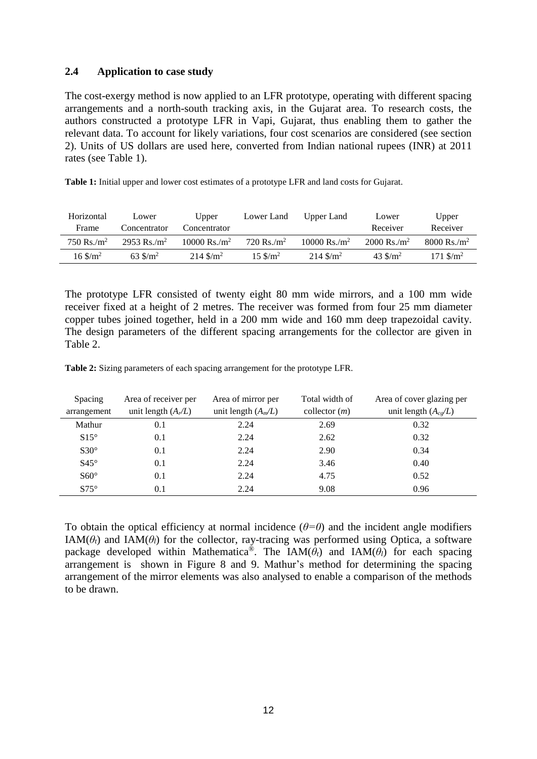# **2.4 Application to case study**

The cost-exergy method is now applied to an LFR prototype, operating with different spacing arrangements and a north-south tracking axis, in the Gujarat area. To research costs, the authors constructed a prototype LFR in Vapi, Gujarat, thus enabling them to gather the relevant data. To account for likely variations, four cost scenarios are considered (see section 2). Units of US dollars are used here, converted from Indian national rupees (INR) at 2011 rates (see Table 1).

**Table 1:** Initial upper and lower cost estimates of a prototype LFR and land costs for Gujarat.

| Horizontal             | Lower                   | Upper                    | Lower Land       | Upper Land               | Lower                            | Upper                   |
|------------------------|-------------------------|--------------------------|------------------|--------------------------|----------------------------------|-------------------------|
| Frame                  | Concentrator            | Concentrator             |                  |                          | Receiver                         | Receiver                |
| 750 Rs./m <sup>2</sup> | 2953 Rs./m <sup>2</sup> | 10000 Rs./m <sup>2</sup> | 720 Rs./ $m^2$   | 10000 Rs./m <sup>2</sup> | 2000 Rs./m <sup>2</sup>          | 8000 Rs./m <sup>2</sup> |
| $16 \text{ m}^2$       | $63 \text{ m}^2$        | $214 \text{ m}^2$        | $15 \text{ m}^2$ | $214 \text{ m}^2$        | 43 $\frac{\text{m}}{\text{m}^2}$ | $171 \text{ m}^2$       |

The prototype LFR consisted of twenty eight 80 mm wide mirrors, and a 100 mm wide receiver fixed at a height of 2 metres. The receiver was formed from four 25 mm diameter copper tubes joined together, held in a 200 mm wide and 160 mm deep trapezoidal cavity. The design parameters of the different spacing arrangements for the collector are given in Table 2.

**Table 2:** Sizing parameters of each spacing arrangement for the prototype LFR.

| Spacing     | Area of receiver per  | Area of mirror per    | Total width of  | Area of cover glazing per |
|-------------|-----------------------|-----------------------|-----------------|---------------------------|
| arrangement | unit length $(A_r/L)$ | unit length $(A_m/L)$ | collector $(m)$ | unit length $(A_{cg}/L)$  |
| Mathur      | 0.1                   | 2.24                  | 2.69            | 0.32                      |
| $S15^\circ$ | 0.1                   | 2.24                  | 2.62            | 0.32                      |
| $S30^\circ$ | 0.1                   | 2.24                  | 2.90            | 0.34                      |
| $S45^\circ$ | 0.1                   | 2.24                  | 3.46            | 0.40                      |
| $S60^\circ$ | 0.1                   | 2.24                  | 4.75            | 0.52                      |
| $S75^\circ$ | 0.1                   | 2.24                  | 9.08            | 0.96                      |

To obtain the optical efficiency at normal incidence  $(\theta=0)$  and the incident angle modifiers IAM( $\theta$ <sup>*t*</sup>) and IAM( $\theta$ <sup>*i*</sup>) for the collector, ray-tracing was performed using Optica, a software package developed within Mathematica<sup>®</sup>. The  $\overline{IAM}(\theta_t)$  and  $\overline{IAM}(\theta_t)$  for each spacing arrangement is shown in Figure 8 and 9. Mathur's method for determining the spacing arrangement of the mirror elements was also analysed to enable a comparison of the methods to be drawn.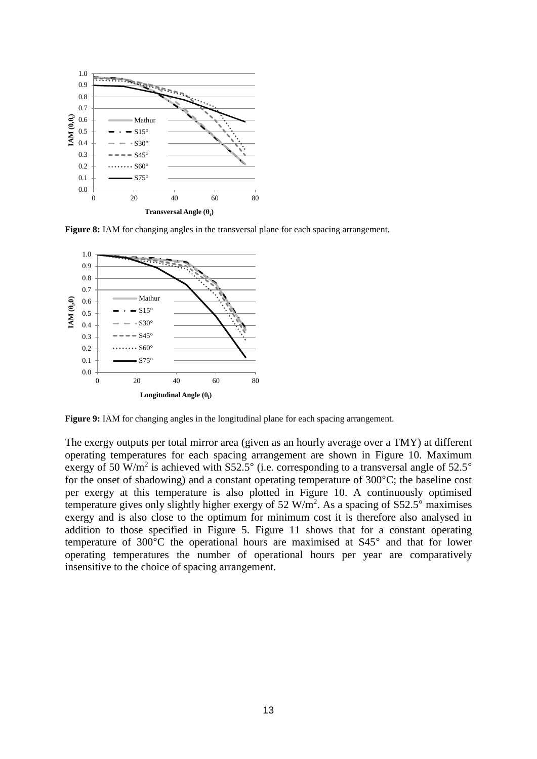

Figure 8: IAM for changing angles in the transversal plane for each spacing arrangement.



Figure 9: IAM for changing angles in the longitudinal plane for each spacing arrangement.

The exergy outputs per total mirror area (given as an hourly average over a TMY) at different operating temperatures for each spacing arrangement are shown in Figure 10. Maximum exergy of 50 W/m<sup>2</sup> is achieved with S52.5 $\degree$  (i.e. corresponding to a transversal angle of 52.5 $\degree$ for the onset of shadowing) and a constant operating temperature of 300°C; the baseline cost per exergy at this temperature is also plotted in Figure 10. A continuously optimised temperature gives only slightly higher exergy of 52 W/m<sup>2</sup>. As a spacing of  $S52.5^{\circ}$  maximises exergy and is also close to the optimum for minimum cost it is therefore also analysed in addition to those specified in Figure 5. Figure 11 shows that for a constant operating temperature of 300°C the operational hours are maximised at S45° and that for lower operating temperatures the number of operational hours per year are comparatively insensitive to the choice of spacing arrangement.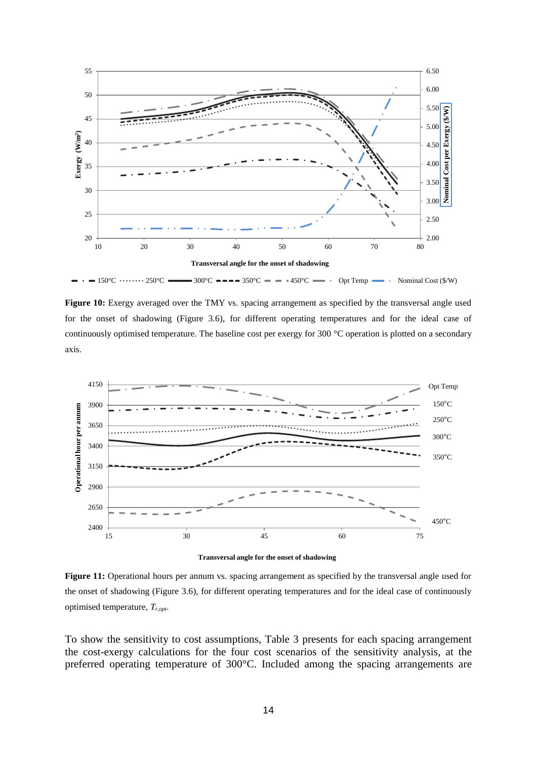

**Figure 10:** Exergy averaged over the TMY vs. spacing arrangement as specified by the transversal angle used for the onset of shadowing (Figure 3.6), for different operating temperatures and for the ideal case of continuously optimised temperature. The baseline cost per exergy for 300 °C operation is plotted on a secondary axis.



**Transversal angle for the onset of shadowing**

**Figure 11:** Operational hours per annum vs. spacing arrangement as specified by the transversal angle used for the onset of shadowing (Figure 3.6), for different operating temperatures and for the ideal case of continuously optimised temperature, *Tr,opt*.

To show the sensitivity to cost assumptions, Table 3 presents for each spacing arrangement the cost-exergy calculations for the four cost scenarios of the sensitivity analysis, at the preferred operating temperature of 300°C. Included among the spacing arrangements are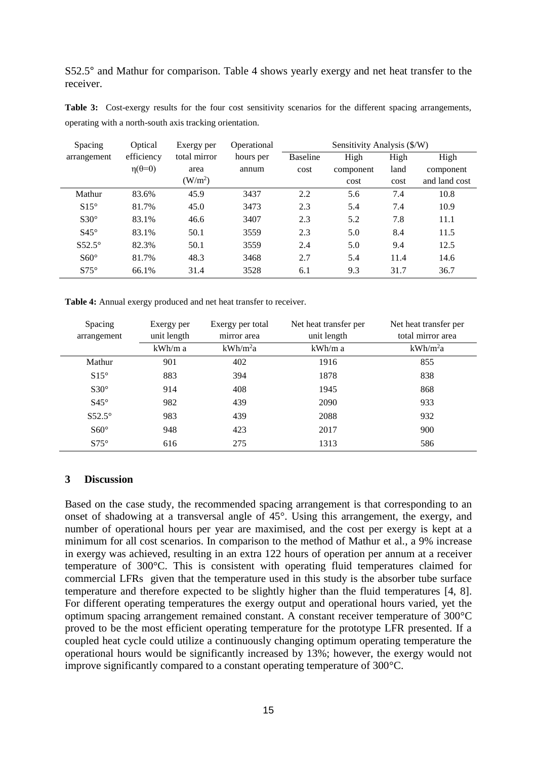S52.5° and Mathur for comparison. Table 4 shows yearly exergy and net heat transfer to the receiver.

**Table 3:** Cost-exergy results for the four cost sensitivity scenarios for the different spacing arrangements, operating with a north-south axis tracking orientation.

| <b>Spacing</b> | Optical          | Exergy per   | Operational | Sensitivity Analysis (\$/W) |           |      |               |
|----------------|------------------|--------------|-------------|-----------------------------|-----------|------|---------------|
| arrangement    | efficiency       | total mirror | hours per   | <b>Baseline</b>             | High      | High | High          |
|                | $\eta(\theta=0)$ | area         | annum       | cost                        | component | land | component     |
|                |                  | $(W/m^2)$    |             |                             | cost      | cost | and land cost |
| Mathur         | 83.6%            | 45.9         | 3437        | 2.2                         | 5.6       | 7.4  | 10.8          |
| $S15^\circ$    | 81.7%            | 45.0         | 3473        | 2.3                         | 5.4       | 7.4  | 10.9          |
| $S30^\circ$    | 83.1%            | 46.6         | 3407        | 2.3                         | 5.2       | 7.8  | 11.1          |
| $S45^\circ$    | 83.1%            | 50.1         | 3559        | 2.3                         | 5.0       | 8.4  | 11.5          |
| $S52.5^\circ$  | 82.3%            | 50.1         | 3559        | 2.4                         | 5.0       | 9.4  | 12.5          |
| $S60^\circ$    | 81.7%            | 48.3         | 3468        | 2.7                         | 5.4       | 11.4 | 14.6          |
| $S75^\circ$    | 66.1%            | 31.4         | 3528        | 6.1                         | 9.3       | 31.7 | 36.7          |

**Table 4:** Annual exergy produced and net heat transfer to receiver.

| <b>Spacing</b> | Exergy per  | Exergy per total     | Net heat transfer per | Net heat transfer per |
|----------------|-------------|----------------------|-----------------------|-----------------------|
| arrangement    | unit length | mirror area          | unit length           | total mirror area     |
|                | kWh/m a     | kWh/m <sup>2</sup> a | kWh/m a               | kWh/m <sup>2</sup> a  |
| Mathur         | 901         | 402                  | 1916                  | 855                   |
| $S15^\circ$    | 883         | 394                  | 1878                  | 838                   |
| $S30^\circ$    | 914         | 408                  | 1945                  | 868                   |
| $S45^\circ$    | 982         | 439                  | 2090                  | 933                   |
| S52.5°         | 983         | 439                  | 2088                  | 932                   |
| $S60^\circ$    | 948         | 423                  | 2017                  | 900                   |
| $S75^\circ$    | 616         | 275                  | 1313                  | 586                   |

#### **3 Discussion**

Based on the case study, the recommended spacing arrangement is that corresponding to an onset of shadowing at a transversal angle of 45°. Using this arrangement, the exergy, and number of operational hours per year are maximised, and the cost per exergy is kept at a minimum for all cost scenarios. In comparison to the method of Mathur et al., a 9% increase in exergy was achieved, resulting in an extra 122 hours of operation per annum at a receiver temperature of 300°C. This is consistent with operating fluid temperatures claimed for commercial LFRs given that the temperature used in this study is the absorber tube surface temperature and therefore expected to be slightly higher than the fluid temperatures [4, 8]. For different operating temperatures the exergy output and operational hours varied, yet the optimum spacing arrangement remained constant. A constant receiver temperature of 300°C proved to be the most efficient operating temperature for the prototype LFR presented. If a coupled heat cycle could utilize a continuously changing optimum operating temperature the operational hours would be significantly increased by 13%; however, the exergy would not improve significantly compared to a constant operating temperature of 300°C.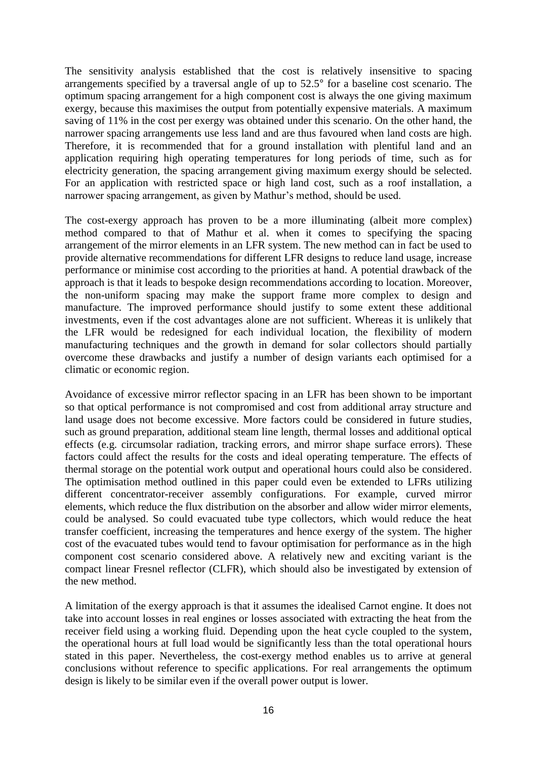The sensitivity analysis established that the cost is relatively insensitive to spacing arrangements specified by a traversal angle of up to 52.5° for a baseline cost scenario. The optimum spacing arrangement for a high component cost is always the one giving maximum exergy, because this maximises the output from potentially expensive materials. A maximum saving of 11% in the cost per exergy was obtained under this scenario. On the other hand, the narrower spacing arrangements use less land and are thus favoured when land costs are high. Therefore, it is recommended that for a ground installation with plentiful land and an application requiring high operating temperatures for long periods of time, such as for electricity generation, the spacing arrangement giving maximum exergy should be selected. For an application with restricted space or high land cost, such as a roof installation, a narrower spacing arrangement, as given by Mathur's method, should be used.

The cost-exergy approach has proven to be a more illuminating (albeit more complex) method compared to that of Mathur et al. when it comes to specifying the spacing arrangement of the mirror elements in an LFR system. The new method can in fact be used to provide alternative recommendations for different LFR designs to reduce land usage, increase performance or minimise cost according to the priorities at hand. A potential drawback of the approach is that it leads to bespoke design recommendations according to location. Moreover, the non-uniform spacing may make the support frame more complex to design and manufacture. The improved performance should justify to some extent these additional investments, even if the cost advantages alone are not sufficient. Whereas it is unlikely that the LFR would be redesigned for each individual location, the flexibility of modern manufacturing techniques and the growth in demand for solar collectors should partially overcome these drawbacks and justify a number of design variants each optimised for a climatic or economic region.

Avoidance of excessive mirror reflector spacing in an LFR has been shown to be important so that optical performance is not compromised and cost from additional array structure and land usage does not become excessive. More factors could be considered in future studies, such as ground preparation, additional steam line length, thermal losses and additional optical effects (e.g. circumsolar radiation, tracking errors, and mirror shape surface errors). These factors could affect the results for the costs and ideal operating temperature. The effects of thermal storage on the potential work output and operational hours could also be considered. The optimisation method outlined in this paper could even be extended to LFRs utilizing different concentrator-receiver assembly configurations. For example, curved mirror elements, which reduce the flux distribution on the absorber and allow wider mirror elements, could be analysed. So could evacuated tube type collectors, which would reduce the heat transfer coefficient, increasing the temperatures and hence exergy of the system. The higher cost of the evacuated tubes would tend to favour optimisation for performance as in the high component cost scenario considered above. A relatively new and exciting variant is the compact linear Fresnel reflector (CLFR), which should also be investigated by extension of the new method.

A limitation of the exergy approach is that it assumes the idealised Carnot engine. It does not take into account losses in real engines or losses associated with extracting the heat from the receiver field using a working fluid. Depending upon the heat cycle coupled to the system, the operational hours at full load would be significantly less than the total operational hours stated in this paper. Nevertheless, the cost-exergy method enables us to arrive at general conclusions without reference to specific applications. For real arrangements the optimum design is likely to be similar even if the overall power output is lower.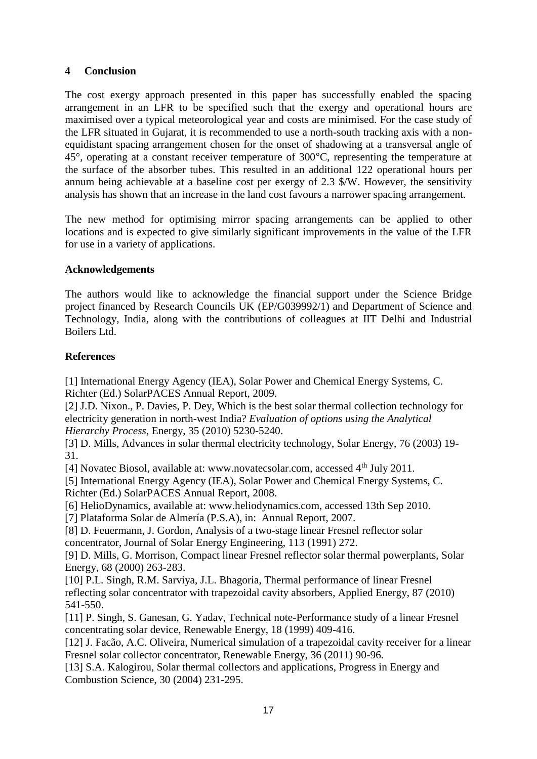# **4 Conclusion**

The cost exergy approach presented in this paper has successfully enabled the spacing arrangement in an LFR to be specified such that the exergy and operational hours are maximised over a typical meteorological year and costs are minimised. For the case study of the LFR situated in Gujarat, it is recommended to use a north-south tracking axis with a nonequidistant spacing arrangement chosen for the onset of shadowing at a transversal angle of 45°, operating at a constant receiver temperature of 300°C, representing the temperature at the surface of the absorber tubes. This resulted in an additional 122 operational hours per annum being achievable at a baseline cost per exergy of 2.3 \$/W. However, the sensitivity analysis has shown that an increase in the land cost favours a narrower spacing arrangement.

The new method for optimising mirror spacing arrangements can be applied to other locations and is expected to give similarly significant improvements in the value of the LFR for use in a variety of applications.

# **Acknowledgements**

The authors would like to acknowledge the financial support under the Science Bridge project financed by Research Councils UK (EP/G039992/1) and Department of Science and Technology, India, along with the contributions of colleagues at IIT Delhi and Industrial Boilers Ltd.

# **References**

[1] International Energy Agency (IEA), Solar Power and Chemical Energy Systems, C. Richter (Ed.) SolarPACES Annual Report, 2009.

[2] J.D. Nixon., P. Davies, P. Dey, Which is the best solar thermal collection technology for electricity generation in north-west India? *Evaluation of options using the Analytical Hierarchy Process*, Energy, 35 (2010) 5230-5240.

[3] D. Mills, Advances in solar thermal electricity technology, Solar Energy, 76 (2003) 19- 31.

[4] Novatec Biosol, available at: www.novatecsolar.com, accessed 4<sup>th</sup> July 2011.

[5] International Energy Agency (IEA), Solar Power and Chemical Energy Systems, C. Richter (Ed.) SolarPACES Annual Report, 2008.

[6] HelioDynamics, available at: www.heliodynamics.com, accessed 13th Sep 2010.

[7] Plataforma Solar de Almería (P.S.A), in: Annual Report, 2007.

[8] D. Feuermann, J. Gordon, Analysis of a two-stage linear Fresnel reflector solar concentrator, Journal of Solar Energy Engineering, 113 (1991) 272.

[9] D. Mills, G. Morrison, Compact linear Fresnel reflector solar thermal powerplants, Solar Energy, 68 (2000) 263-283.

[10] P.L. Singh, R.M. Sarviya, J.L. Bhagoria, Thermal performance of linear Fresnel reflecting solar concentrator with trapezoidal cavity absorbers, Applied Energy, 87 (2010) 541-550.

[11] P. Singh, S. Ganesan, G. Yadav, Technical note-Performance study of a linear Fresnel concentrating solar device, Renewable Energy, 18 (1999) 409-416.

[12] J. Facão, A.C. Oliveira, Numerical simulation of a trapezoidal cavity receiver for a linear Fresnel solar collector concentrator, Renewable Energy, 36 (2011) 90-96.

[13] S.A. Kalogirou, Solar thermal collectors and applications, Progress in Energy and Combustion Science, 30 (2004) 231-295.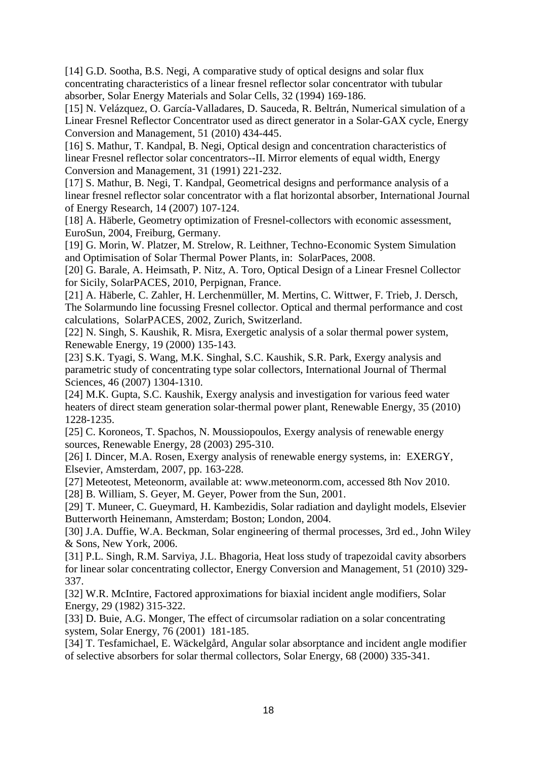[14] G.D. Sootha, B.S. Negi, A comparative study of optical designs and solar flux concentrating characteristics of a linear fresnel reflector solar concentrator with tubular absorber, Solar Energy Materials and Solar Cells, 32 (1994) 169-186.

[15] N. Velázquez, O. García-Valladares, D. Sauceda, R. Beltrán, Numerical simulation of a Linear Fresnel Reflector Concentrator used as direct generator in a Solar-GAX cycle, Energy Conversion and Management, 51 (2010) 434-445.

[16] S. Mathur, T. Kandpal, B. Negi, Optical design and concentration characteristics of linear Fresnel reflector solar concentrators--II. Mirror elements of equal width, Energy Conversion and Management, 31 (1991) 221-232.

[17] S. Mathur, B. Negi, T. Kandpal, Geometrical designs and performance analysis of a linear fresnel reflector solar concentrator with a flat horizontal absorber, International Journal of Energy Research, 14 (2007) 107-124.

[18] A. Häberle, Geometry optimization of Fresnel-collectors with economic assessment, EuroSun, 2004, Freiburg, Germany.

[19] G. Morin, W. Platzer, M. Strelow, R. Leithner, Techno-Economic System Simulation and Optimisation of Solar Thermal Power Plants, in: SolarPaces, 2008.

[20] G. Barale, A. Heimsath, P. Nitz, A. Toro, Optical Design of a Linear Fresnel Collector for Sicily, SolarPACES, 2010, Perpignan, France.

[21] A. Häberle, C. Zahler, H. Lerchenmüller, M. Mertins, C. Wittwer, F. Trieb, J. Dersch, The Solarmundo line focussing Fresnel collector. Optical and thermal performance and cost calculations, SolarPACES, 2002, Zurich, Switzerland.

[22] N. Singh, S. Kaushik, R. Misra, Exergetic analysis of a solar thermal power system, Renewable Energy, 19 (2000) 135-143.

[23] S.K. Tyagi, S. Wang, M.K. Singhal, S.C. Kaushik, S.R. Park, Exergy analysis and parametric study of concentrating type solar collectors, International Journal of Thermal Sciences, 46 (2007) 1304-1310.

[24] M.K. Gupta, S.C. Kaushik, Exergy analysis and investigation for various feed water heaters of direct steam generation solar-thermal power plant, Renewable Energy, 35 (2010) 1228-1235.

[25] C. Koroneos, T. Spachos, N. Moussiopoulos, Exergy analysis of renewable energy sources, Renewable Energy, 28 (2003) 295-310.

[26] I. Dincer, M.A. Rosen, Exergy analysis of renewable energy systems, in: EXERGY, Elsevier, Amsterdam, 2007, pp. 163-228.

[27] Meteotest, Meteonorm, available at: www.meteonorm.com, accessed 8th Nov 2010.

[28] B. William, S. Geyer, M. Geyer, Power from the Sun, 2001.

[29] T. Muneer, C. Gueymard, H. Kambezidis, Solar radiation and daylight models, Elsevier Butterworth Heinemann, Amsterdam; Boston; London, 2004.

[30] J.A. Duffie, W.A. Beckman, Solar engineering of thermal processes, 3rd ed., John Wiley & Sons, New York, 2006.

[31] P.L. Singh, R.M. Sarviya, J.L. Bhagoria, Heat loss study of trapezoidal cavity absorbers for linear solar concentrating collector, Energy Conversion and Management, 51 (2010) 329- 337.

[32] W.R. McIntire, Factored approximations for biaxial incident angle modifiers, Solar Energy, 29 (1982) 315-322.

[33] D. Buie, A.G. Monger, The effect of circumsolar radiation on a solar concentrating system, Solar Energy, 76 (2001) 181-185.

[34] T. Tesfamichael, E. Wäckelgård, Angular solar absorptance and incident angle modifier of selective absorbers for solar thermal collectors, Solar Energy, 68 (2000) 335-341.